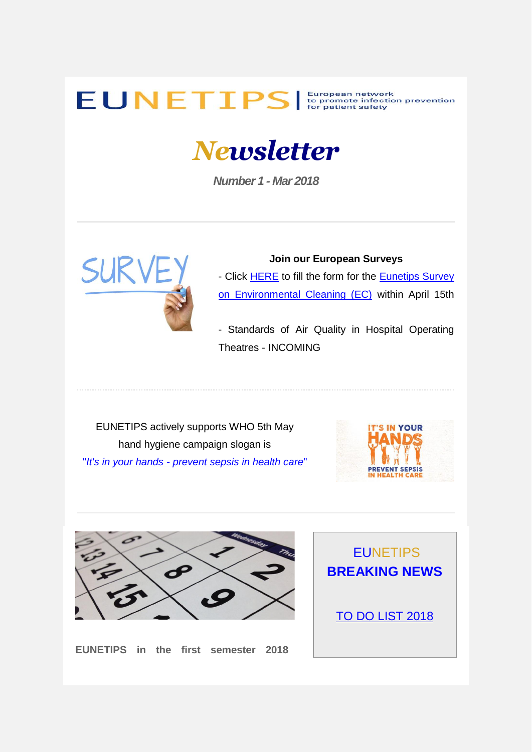## EUNETIPS S European network to promote infection prevention

## *Newsletter*

*Number 1 - Mar 2018*



**Join our European Surveys** - Click **HERE** to fill the form for the **Eunetips Survey** [on Environmental Cleaning \(EC\)](https://uk-essen.us10.list-manage.com/track/click?u=8af78916e641c36b8c944781f&id=5485f980ba&e=7540569e9d) within April 15th

- Standards of Air Quality in Hospital Operating Theatres - INCOMING

EUNETIPS actively supports WHO 5th May hand hygiene campaign slogan is "*It's in your hands - [prevent sepsis in health care](https://uk-essen.us10.list-manage.com/track/click?u=8af78916e641c36b8c944781f&id=b369c9face&e=7540569e9d)*"





**EUNETIPS in the first semester 2018** 

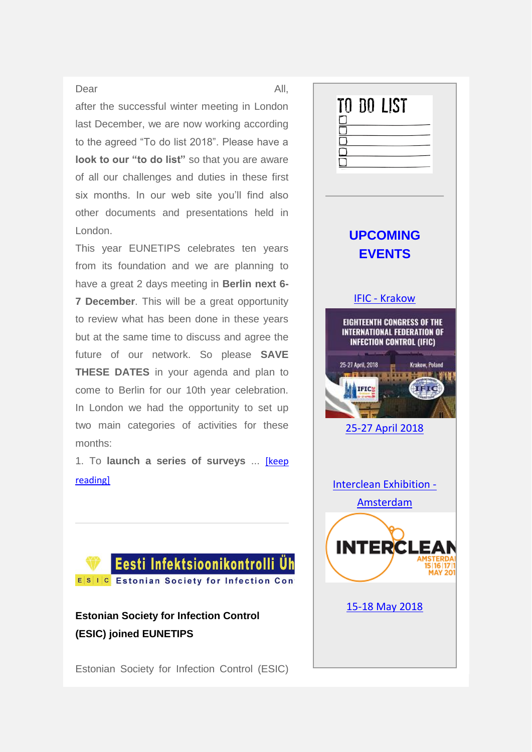## Dear All,

after the successful winter meeting in London last December, we are now working according to the agreed "To do list 2018". Please have a **look to our "to do list"** so that you are aware of all our challenges and duties in these first six months. In our web site you'll find also other documents and presentations held in London.

This year EUNETIPS celebrates ten years from its foundation and we are planning to have a great 2 days meeting in **Berlin next 6- 7 December**. This will be a great opportunity to review what has been done in these years but at the same time to discuss and agree the future of our network. So please **SAVE THESE DATES** in your agenda and plan to come to Berlin for our 10th year celebration. In London we had the opportunity to set up two main categories of activities for these months:

1. To **launch a series of surveys** ... [\[keep](https://uk-essen.us10.list-manage.com/track/click?u=8af78916e641c36b8c944781f&id=0ae6bd119d&e=7540569e9d)  [reading\]](https://uk-essen.us10.list-manage.com/track/click?u=8af78916e641c36b8c944781f&id=0ae6bd119d&e=7540569e9d)



**Estonian Society for Infection Control (ESIC) joined EUNETIPS**

Estonian Society for Infection Control (ESIC)

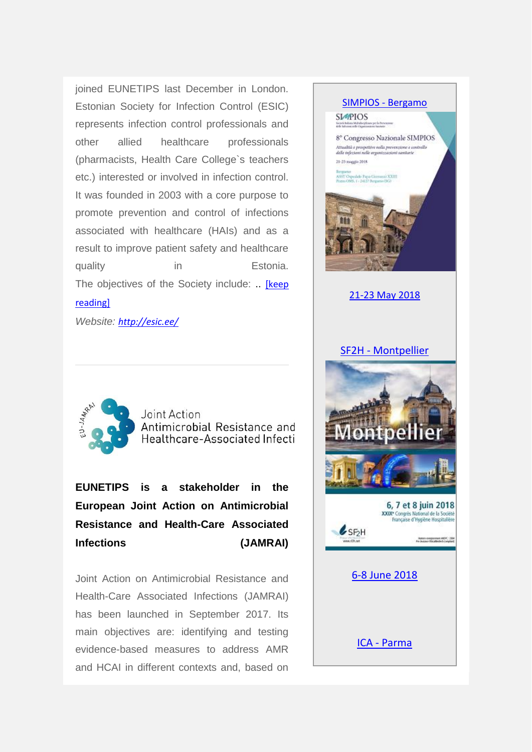joined EUNETIPS last December in London. Estonian Society for Infection Control (ESIC) represents infection control professionals and other allied healthcare professionals (pharmacists, Health Care College`s teachers etc.) interested or involved in infection control. It was founded in 2003 with a core purpose to promote prevention and control of infections associated with healthcare (HAIs) and as a result to improve patient safety and healthcare quality in Estonia. The objectives of the Society include: .. [\[keep](https://uk-essen.us10.list-manage.com/track/click?u=8af78916e641c36b8c944781f&id=dd64160795&e=7540569e9d)  [reading\]](https://uk-essen.us10.list-manage.com/track/click?u=8af78916e641c36b8c944781f&id=dd64160795&e=7540569e9d)

*Website: [http://esic.ee/](https://uk-essen.us10.list-manage.com/track/click?u=8af78916e641c36b8c944781f&id=b151cbb563&e=7540569e9d)*





Joint Action Antimicrobial Resistance and Healthcare-Associated Infecti

**EUNETIPS is a stakeholder in the European Joint Action on Antimicrobial Resistance and Health-Care Associated Infections (JAMRAI)**

Joint Action on Antimicrobial Resistance and Health-Care Associated Infections (JAMRAI) has been launched in September 2017. Its main objectives are: identifying and testing evidence-based measures to address AMR and HCAI in different contexts and, based on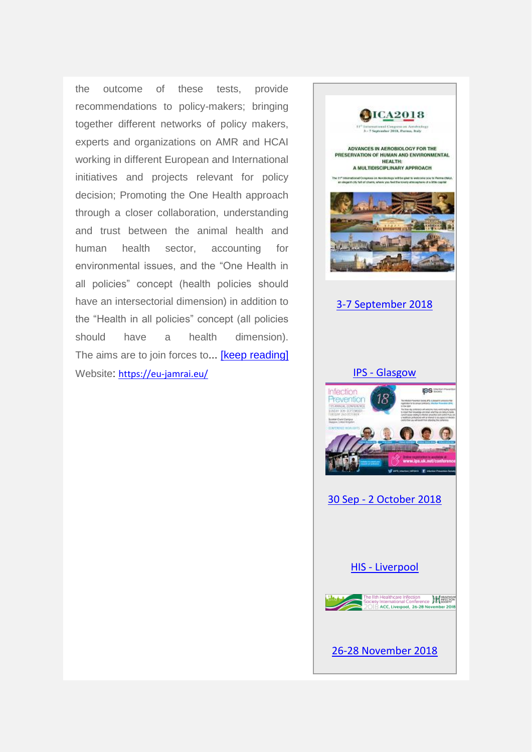the outcome of these tests, provide recommendations to policy-makers; bringing together different networks of policy makers, experts and organizations on AMR and HCAI working in different European and International initiatives and projects relevant for policy decision; Promoting the One Health approach through a closer collaboration, understanding and trust between the animal health and human health sector, accounting for environmental issues, and the "One Health in all policies" concept (health policies should have an intersectorial dimension) in addition to the "Health in all policies" concept (all policies should have a health dimension). The aims are to join forces to... **[keep reading]** Website: [https://eu-jamrai.eu/](https://uk-essen.us10.list-manage.com/track/click?u=8af78916e641c36b8c944781f&id=26617d4215&e=7540569e9d)

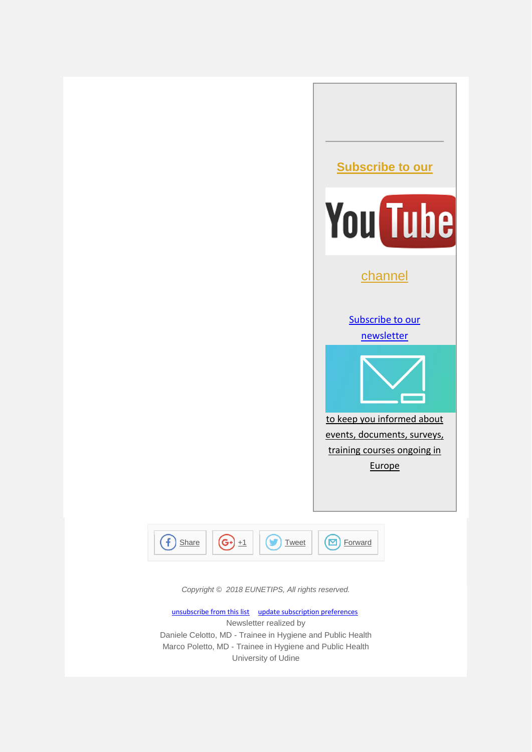



*Copyright © 2018 EUNETIPS, All rights reserved.*

[unsubscribe from this list](https://uk-essen.us10.list-manage.com/unsubscribe?u=8af78916e641c36b8c944781f&id=ac1a4927b5&e=7540569e9d&c=11687a51ee) [update subscription preferences](https://uk-essen.us10.list-manage.com/profile?u=8af78916e641c36b8c944781f&id=ac1a4927b5&e=7540569e9d) Newsletter realized by Daniele Celotto, MD - Trainee in Hygiene and Public Health Marco Poletto, MD - Trainee in Hygiene and Public Health University of Udine